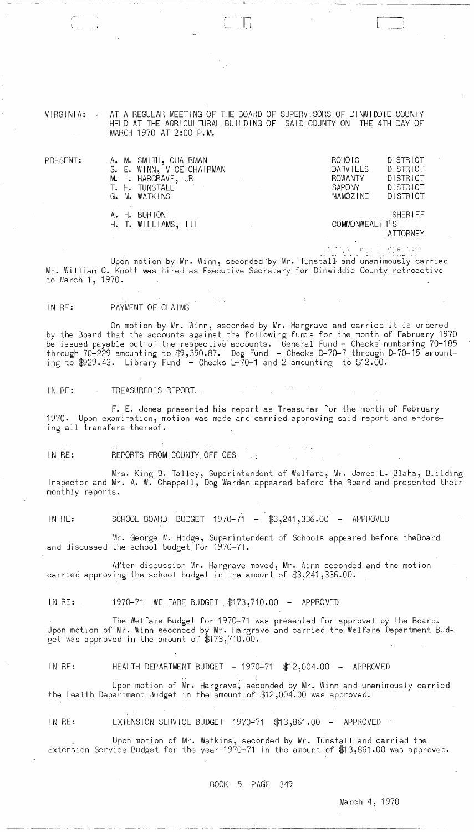VIRGINIA: AT A REGULAR MEETING OF THE BOARD OF SUPERVISORS OF DINWIDDIE COUNTY HELD AT THE AGRICULTURAL BUILDING OF SAID COUNTY ON THE 4TH DAY OF MARCH 1970 AT 2:00 P.M.

PRESENT:

|  | A. M. SMITH, CHAIRMAN                                                                                          | ROHOIC          | DISTRICT |
|--|----------------------------------------------------------------------------------------------------------------|-----------------|----------|
|  | S. E. WINN, VICE CHAIRMAN                                                                                      | <b>DARVILLS</b> | DISTRICT |
|  | M. I. HARGRAVE, JR                                                                                             | ROWANTY         | DISTRICT |
|  | T. H. TUNSTALL<br>the control of the control of the                                                            | SAPONY          | DISTRICT |
|  | G. M. WATKINS                                                                                                  | NAMOZINE        | DISTRICT |
|  |                                                                                                                |                 |          |
|  | A. H. BURTON                                                                                                   |                 | SHERIFF  |
|  | H. T. WILLIAMS, III<br>$\mathcal{L}^{\text{max}}_{\text{max}}$ , where $\mathcal{L}^{\text{max}}_{\text{max}}$ | COMMONWEALTH'S  |          |
|  |                                                                                                                |                 | ATTORNEY |
|  |                                                                                                                |                 |          |

 $\Box$ 

c· '. <sup>I</sup>**"** ':-')

,. ... **" .** . . . . . - .. ~. .' Upon motion by Mr. Winn, seconded by Mr. Tunstall and unanimously carried Mr. William C. Knott was hired as Executive Secretary for Dinwiddie County retroactive to March 1, 1970.

IN RE: PAYMENT OF CLAIMS

On motion by Mr. Winn, seconded by Mr. Hargrave and carried it is ordered by the Board that the accounts against the following funds for the month of February 1970 be issued payab1e out of the 'respective' accounts. General Fund - Checks numbering 70-185 through 70-229 amounting to \$9,350.87. Dog Fund - Checks D-70-7 through D-70-15 amounting to  $$929.43$ . Library Fund  $-$  Checks L-70-1 and 2 amounting to  $$12.00$ .

IN RE: TREASURER'S REPORT.

F. E. Jones presented his report as Treasurer for the month of February 1970. Upon examination, motion was made and carried approving said report and endorsing all transfers thereof.

IN RE: REPORTS FROM COUNTY OFFICES

Mrs. King B. Talley, Superintendent of Welfare, Mr. James L. Blaha, Building Inspector and Mr. A. W. Chappell, Dog Warden appeared before the Board and presented their monthly reports.

IN RE: SCHOOL BOARD BUDGET 1970-71 - \$3,241,336.00 - APPROVED

Mr. George M. Hodge, Superintendent of Schools appeared before theBoard and discussed the school budget for 1970-71.

After discussion Mr. Hargrave moved, Mr. Winn seconded and the motion carried approving the school budget in the amount of \$3,241,336.00.

IN RE: 1970-71 WELFARE BUDGET \$173,710.00 - APPROVED

The Welfare Budget for 1970-71 was presented for approval by the Board. Upon motion of Mr. Winn seconded by Mr. Hargrave and carried the Welfare Department Budget was approved in the amount of  $$173,710.00$ .

IN RE: HEALTH DEPARTMENT BUDGET - 1970-71 \$12,004.00 - APPROVED

Upon motion of Mr. Hargrave, seconded by Mr. Winn and unanimously carried the Health Department Budget in the amount of \$12,004.00 was approved.

IN RE: EXTENSION SERVICE BUDGET 1970-71 \$13,861.00 - APPROVED

Upon motion of Mr. Watkins, seconded by Mr. Tunstall and carried the Extension Service Budget for the year 1970-71 in the amount of \$13,861.00 was approved.

BOOK 5 PAGE 349